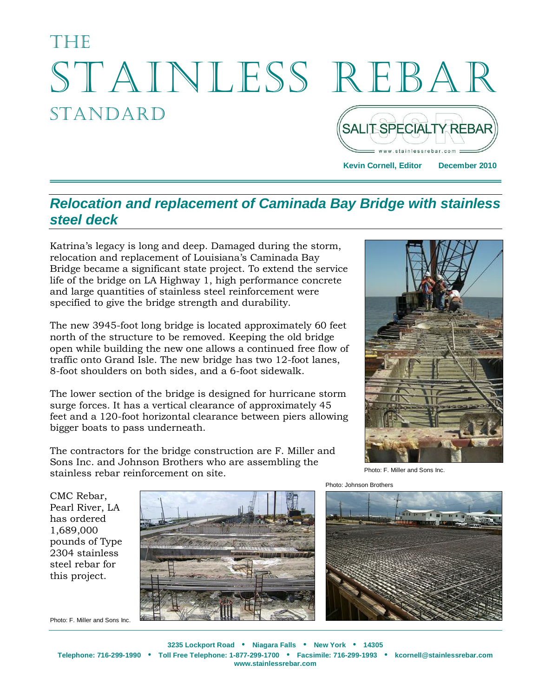# **Thens** Stainless Rebar **STANDARD** SALIT SPECIALTY REBAR

**Kevin Cornell, Editor December 2010**

### *Relocation and replacement of Caminada Bay Bridge with stainless steel deck*

Katrina's legacy is long and deep. Damaged during the storm, relocation and replacement of Louisiana's Caminada Bay Bridge became a significant state project. To extend the service life of the bridge on LA Highway 1, high performance concrete and large quantities of stainless steel reinforcement were specified to give the bridge strength and durability.

The new 3945-foot long bridge is located approximately 60 feet north of the structure to be removed. Keeping the old bridge open while building the new one allows a continued free flow of traffic onto Grand Isle. The new bridge has two 12-foot lanes, 8-foot shoulders on both sides, and a 6-foot sidewalk.

The lower section of the bridge is designed for hurricane storm surge forces. It has a vertical clearance of approximately 45 feet and a 120-foot horizontal clearance between piers allowing bigger boats to pass underneath.

The contractors for the bridge construction are F. Miller and Sons Inc. and Johnson Brothers who are assembling the stainless rebar reinforcement on site.



Photo: F. Miller and Sons Inc.

Photo: Johnson Brothers



CMC Rebar, Pearl River, LA has ordered 1,689,000 pounds of Type 2304 stainless steel rebar for this project.



Photo: F. Miller and Sons Inc.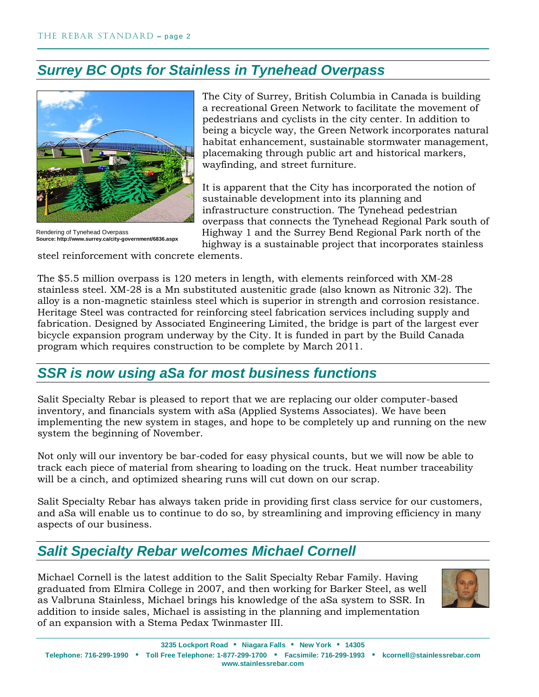# *Surrey BC Opts for Stainless in Tynehead Overpass*



Rendering of Tynehead Overpass **Source: http://www.surrey.ca/city-government/6836.aspx**

The City of Surrey, British Columbia in Canada is building a recreational Green Network to facilitate the movement of pedestrians and cyclists in the city center. In addition to being a bicycle way, the Green Network incorporates natural habitat enhancement, sustainable stormwater management, placemaking through public art and historical markers, wayfinding, and street furniture.

It is apparent that the City has incorporated the notion of sustainable development into its planning and infrastructure construction. The Tynehead pedestrian overpass that connects the Tynehead Regional Park south of Highway 1 and the Surrey Bend Regional Park north of the highway is a sustainable project that incorporates stainless

steel reinforcement with concrete elements.

The \$5.5 million overpass is 120 meters in length, with elements reinforced with XM-28 stainless steel. XM-28 is a Mn substituted austenitic grade (also known as Nitronic 32). The alloy is a non-magnetic stainless steel which is superior in strength and corrosion resistance. Heritage Steel was contracted for reinforcing steel fabrication services including supply and fabrication. Designed by Associated Engineering Limited, the bridge is part of the largest ever bicycle expansion program underway by the City. It is funded in part by the Build Canada program which requires construction to be complete by March 2011.

# *SSR is now using aSa for most business functions*

Salit Specialty Rebar is pleased to report that we are replacing our older computer-based inventory, and financials system with aSa (Applied Systems Associates). We have been implementing the new system in stages, and hope to be completely up and running on the new system the beginning of November.

Not only will our inventory be bar-coded for easy physical counts, but we will now be able to track each piece of material from shearing to loading on the truck. Heat number traceability will be a cinch, and optimized shearing runs will cut down on our scrap.

Salit Specialty Rebar has always taken pride in providing first class service for our customers, and aSa will enable us to continue to do so, by streamlining and improving efficiency in many aspects of our business.

# *Salit Specialty Rebar welcomes Michael Cornell*

Michael Cornell is the latest addition to the Salit Specialty Rebar Family. Having graduated from Elmira College in 2007, and then working for Barker Steel, as well as Valbruna Stainless, Michael brings his knowledge of the aSa system to SSR. In addition to inside sales, Michael is assisting in the planning and implementation of an expansion with a Stema Pedax Twinmaster III.

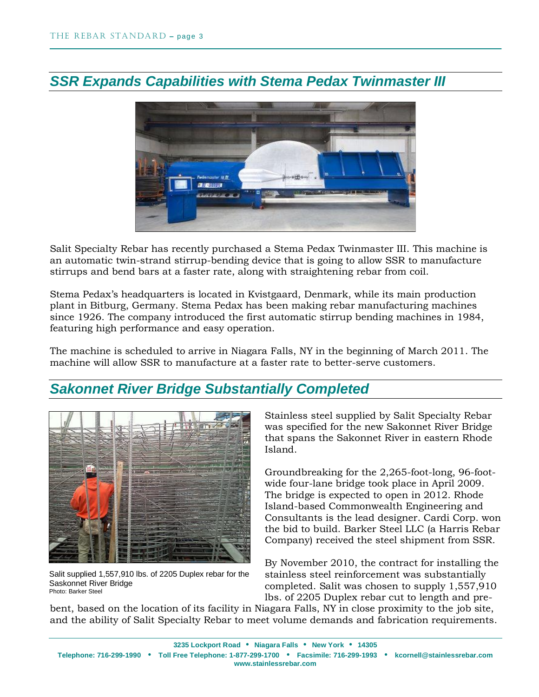

# *SSR Expands Capabilities with Stema Pedax Twinmaster III*

Salit Specialty Rebar has recently purchased a Stema Pedax Twinmaster III. This machine is an automatic twin-strand stirrup-bending device that is going to allow SSR to manufacture stirrups and bend bars at a faster rate, along with straightening rebar from coil.

Stema Pedax's headquarters is located in Kvistgaard, Denmark, while its main production plant in Bitburg, Germany. Stema Pedax has been making rebar manufacturing machines since 1926. The company introduced the first automatic stirrup bending machines in 1984, featuring high performance and easy operation.

The machine is scheduled to arrive in Niagara Falls, NY in the beginning of March 2011. The machine will allow SSR to manufacture at a faster rate to better-serve customers.

# *Sakonnet River Bridge Substantially Completed*



Salit supplied 1,557,910 lbs. of 2205 Duplex rebar for the Saskonnet River Bridge Photo: Barker Steel

Stainless steel supplied by Salit Specialty Rebar was specified for the new Sakonnet River Bridge that spans the Sakonnet River in eastern Rhode Island.

Groundbreaking for the 2,265-foot-long, 96-footwide four-lane bridge took place in April 2009. The bridge is expected to open in 2012. Rhode Island-based Commonwealth Engineering and Consultants is the lead designer. Cardi Corp. won the bid to build. Barker Steel LLC (a Harris Rebar Company) received the steel shipment from SSR.

By November 2010, the contract for installing the stainless steel reinforcement was substantially completed. Salit was chosen to supply 1,557,910 lbs. of 2205 Duplex rebar cut to length and pre-

bent, based on the location of its facility in Niagara Falls, NY in close proximity to the job site, and the ability of Salit Specialty Rebar to meet volume demands and fabrication requirements.